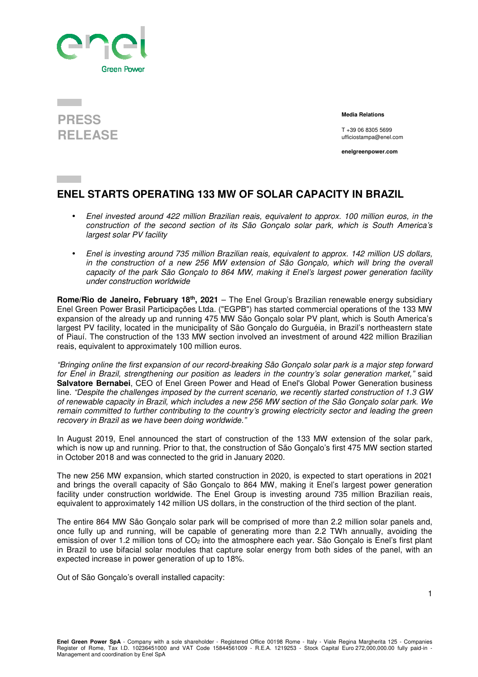

## **PRESS RELEASE**

 **Media Relations** 

T +39 06 8305 5699 ufficiostampa@enel.com

**enelgreenpower.com**

## **ENEL STARTS OPERATING 133 MW OF SOLAR CAPACITY IN BRAZIL**

- Enel invested around 422 million Brazilian reais, equivalent to approx. 100 million euros, in the construction of the second section of its São Gonçalo solar park, which is South America's largest solar PV facility
- Enel is investing around 735 million Brazilian reais, equivalent to approx. 142 million US dollars, in the construction of a new 256 MW extension of São Gonçalo, which will bring the overall capacity of the park São Gonçalo to 864 MW, making it Enel's largest power generation facility under construction worldwide

**Rome/Rio de Janeiro, February 18th, 2021** – The Enel Group's Brazilian renewable energy subsidiary Enel Green Power Brasil Participações Ltda. ("EGPB") has started commercial operations of the 133 MW expansion of the already up and running 475 MW São Gonçalo solar PV plant, which is South America's largest PV facility, located in the municipality of São Gonçalo do Gurguéia, in Brazil's northeastern state of Piauí. The construction of the 133 MW section involved an investment of around 422 million Brazilian reais, equivalent to approximately 100 million euros.

"Bringing online the first expansion of our record-breaking São Gonçalo solar park is a major step forward for Enel in Brazil, strengthening our position as leaders in the country's solar generation market," said **Salvatore Bernabei**, CEO of Enel Green Power and Head of Enel's Global Power Generation business line. "Despite the challenges imposed by the current scenario, we recently started construction of 1.3 GW of renewable capacity in Brazil, which includes a new 256 MW section of the São Gonçalo solar park. We remain committed to further contributing to the country's growing electricity sector and leading the green recovery in Brazil as we have been doing worldwide."

In August 2019, Enel announced the start of construction of the 133 MW extension of the solar park, which is now up and running. Prior to that, the construction of São Gonçalo's first 475 MW section started in October 2018 and was connected to the grid in January 2020.

The new 256 MW expansion, which started construction in 2020, is expected to start operations in 2021 and brings the overall capacity of São Gonçalo to 864 MW, making it Enel's largest power generation facility under construction worldwide. The Enel Group is investing around 735 million Brazilian reais, equivalent to approximately 142 million US dollars, in the construction of the third section of the plant.

The entire 864 MW São Gonçalo solar park will be comprised of more than 2.2 million solar panels and, once fully up and running, will be capable of generating more than 2.2 TWh annually, avoiding the emission of over 1.2 million tons of CO<sub>2</sub> into the atmosphere each year. São Gonçalo is Enel's first plant in Brazil to use bifacial solar modules that capture solar energy from both sides of the panel, with an expected increase in power generation of up to 18%.

Out of São Gonçalo's overall installed capacity: